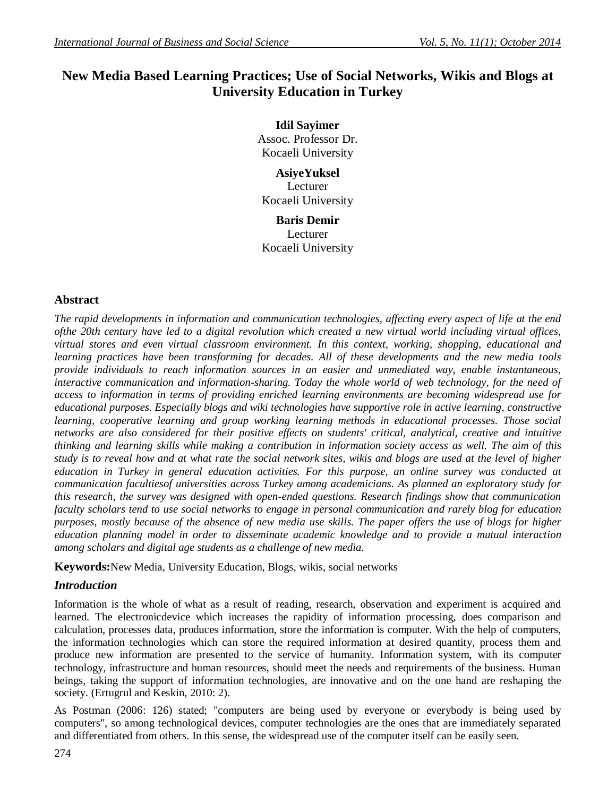# **New Media Based Learning Practices; Use of Social Networks, Wikis and Blogs at University Education in Turkey**

**Idil Sayimer** Assoc. Professor Dr. Kocaeli University

**AsiyeYuksel** Lecturer Kocaeli University

**Baris Demir** Lecturer Kocaeli University

## **Abstract**

*The rapid developments in information and communication technologies, affecting every aspect of life at the end ofthe 20th century have led to a digital revolution which created a new virtual world including virtual offices, virtual stores and even virtual classroom environment. In this context, working, shopping, educational and learning practices have been transforming for decades. All of these developments and the new media tools provide individuals to reach information sources in an easier and unmediated way, enable instantaneous, interactive communication and information-sharing. Today the whole world of web technology, for the need of access to information in terms of providing enriched learning environments are becoming widespread use for educational purposes. Especially blogs and wiki technologies have supportive role in active learning, constructive learning, cooperative learning and group working learning methods in educational processes. Those social networks are also considered for their positive effects on students' critical, analytical, creative and intuitive thinking and learning skills while making a contribution in information society access as well. The aim of this study is to reveal how and at what rate the social network sites, wikis and blogs are used at the level of higher education in Turkey in general education activities. For this purpose, an online survey was conducted at communication facultiesof universities across Turkey among academicians. As planned an exploratory study for this research, the survey was designed with open-ended questions. Research findings show that communication faculty scholars tend to use social networks to engage in personal communication and rarely blog for education purposes, mostly because of the absence of new media use skills. The paper offers the use of blogs for higher education planning model in order to disseminate academic knowledge and to provide a mutual interaction among scholars and digital age students as a challenge of new media.* 

**Keywords:**New Media, University Education, Blogs, wikis, social networks

## *Introduction*

Information is the whole of what as a result of reading, research, observation and experiment is acquired and learned. The electronicdevice which increases the rapidity of information processing, does comparison and calculation, processes data, produces information, store the information is computer. With the help of computers, the information technologies which can store the required information at desired quantity, process them and produce new information are presented to the service of humanity. Information system, with its computer technology, infrastructure and human resources, should meet the needs and requirements of the business. Human beings, taking the support of information technologies, are innovative and on the one hand are reshaping the society. (Ertugrul and Keskin, 2010: 2).

As Postman (2006: 126) stated; "computers are being used by everyone or everybody is being used by computers", so among technological devices, computer technologies are the ones that are immediately separated and differentiated from others. In this sense, the widespread use of the computer itself can be easily seen.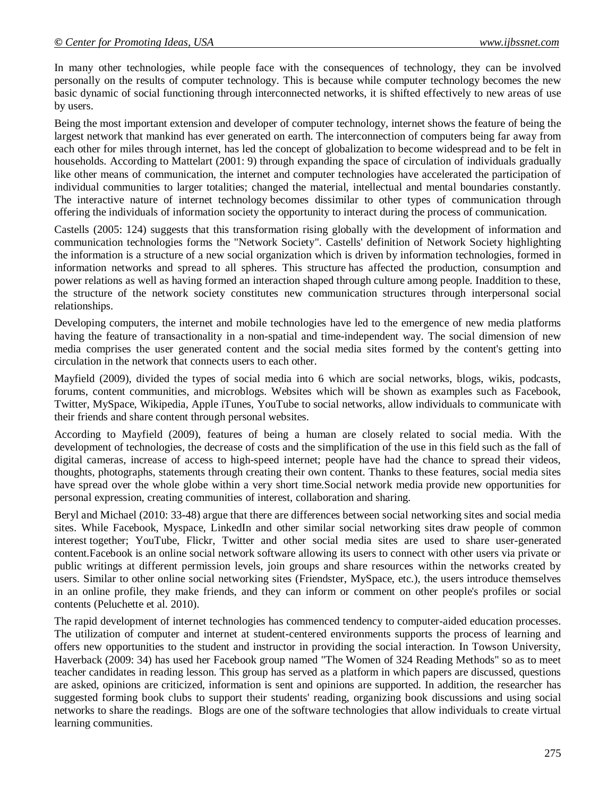In many other technologies, while people face with the consequences of technology, they can be involved personally on the results of computer technology. This is because while computer technology becomes the new basic dynamic of social functioning through interconnected networks, it is shifted effectively to new areas of use by users.

Being the most important extension and developer of computer technology, internet shows the feature of being the largest network that mankind has ever generated on earth. The interconnection of computers being far away from each other for miles through internet, has led the concept of globalization to become widespread and to be felt in households. According to Mattelart (2001: 9) through expanding the space of circulation of individuals gradually like other means of communication, the internet and computer technologies have accelerated the participation of individual communities to larger totalities; changed the material, intellectual and mental boundaries constantly. The interactive nature of internet technology becomes dissimilar to other types of communication through offering the individuals of information society the opportunity to interact during the process of communication.

Castells (2005: 124) suggests that this transformation rising globally with the development of information and communication technologies forms the "Network Society". Castells' definition of Network Society highlighting the information is a structure of a new social organization which is driven by information technologies, formed in information networks and spread to all spheres. This structure has affected the production, consumption and power relations as well as having formed an interaction shaped through culture among people. Inaddition to these, the structure of the network society constitutes new communication structures through interpersonal social relationships.

Developing computers, the internet and mobile technologies have led to the emergence of new media platforms having the feature of transactionality in a non-spatial and time-independent way. The social dimension of new media comprises the user generated content and the social media sites formed by the content's getting into circulation in the network that connects users to each other.

Mayfield (2009), divided the types of social media into 6 which are social networks, blogs, wikis, podcasts, forums, content communities, and microblogs. Websites which will be shown as examples such as Facebook, Twitter, MySpace, Wikipedia, Apple iTunes, YouTube to social networks, allow individuals to communicate with their friends and share content through personal websites.

According to Mayfield (2009), features of being a human are closely related to social media. With the development of technologies, the decrease of costs and the simplification of the use in this field such as the fall of digital cameras, increase of access to high-speed internet; people have had the chance to spread their videos, thoughts, photographs, statements through creating their own content. Thanks to these features, social media sites have spread over the whole globe within a very short time.Social network media provide new opportunities for personal expression, creating communities of interest, collaboration and sharing.

Beryl and Michael (2010: 33-48) argue that there are differences between social networking sites and social media sites. While Facebook, Myspace, LinkedIn and other similar social networking sites draw people of common interest together; YouTube, Flickr, Twitter and other social media sites are used to share user-generated content.Facebook is an online social network software allowing its users to connect with other users via private or public writings at different permission levels, join groups and share resources within the networks created by users. Similar to other online social networking sites (Friendster, MySpace, etc.), the users introduce themselves in an online profile, they make friends, and they can inform or comment on other people's profiles or social contents (Peluchette et al. 2010).

The rapid development of internet technologies has commenced tendency to computer-aided education processes. The utilization of computer and internet at student-centered environments supports the process of learning and offers new opportunities to the student and instructor in providing the social interaction. In Towson University, Haverback (2009: 34) has used her Facebook group named "The Women of 324 Reading Methods" so as to meet teacher candidates in reading lesson. This group has served as a platform in which papers are discussed, questions are asked, opinions are criticized, information is sent and opinions are supported. In addition, the researcher has suggested forming book clubs to support their students' reading, organizing book discussions and using social networks to share the readings. Blogs are one of the software technologies that allow individuals to create virtual learning communities.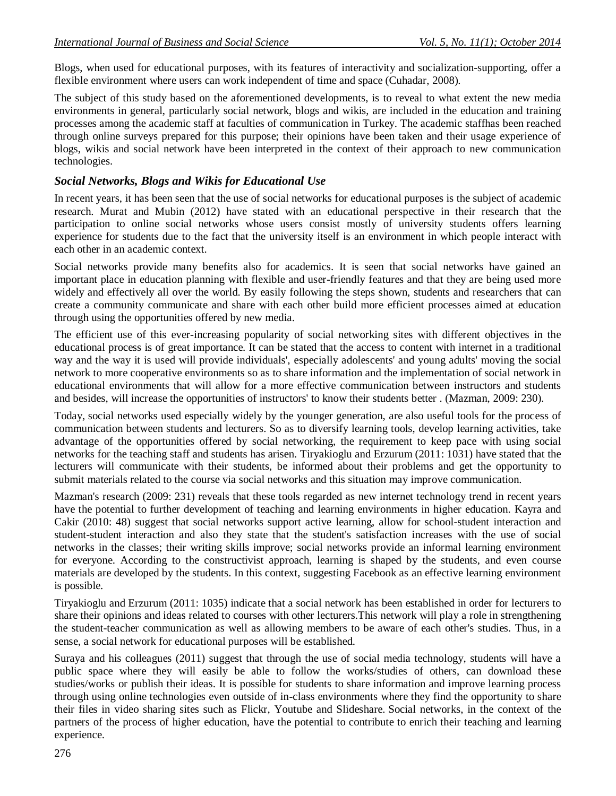Blogs, when used for educational purposes, with its features of interactivity and socialization-supporting, offer a flexible environment where users can work independent of time and space (Cuhadar, 2008).

The subject of this study based on the aforementioned developments, is to reveal to what extent the new media environments in general, particularly social network, blogs and wikis, are included in the education and training processes among the academic staff at faculties of communication in Turkey. The academic staffhas been reached through online surveys prepared for this purpose; their opinions have been taken and their usage experience of blogs, wikis and social network have been interpreted in the context of their approach to new communication technologies.

#### *Social Networks, Blogs and Wikis for Educational Use*

In recent years, it has been seen that the use of social networks for educational purposes is the subject of academic research. Murat and Mubin (2012) have stated with an educational perspective in their research that the participation to online social networks whose users consist mostly of university students offers learning experience for students due to the fact that the university itself is an environment in which people interact with each other in an academic context.

Social networks provide many benefits also for academics. It is seen that social networks have gained an important place in education planning with flexible and user-friendly features and that they are being used more widely and effectively all over the world. By easily following the steps shown, students and researchers that can create a community communicate and share with each other build more efficient processes aimed at education through using the opportunities offered by new media.

The efficient use of this ever-increasing popularity of social networking sites with different objectives in the educational process is of great importance. It can be stated that the access to content with internet in a traditional way and the way it is used will provide individuals', especially adolescents' and young adults' moving the social network to more cooperative environments so as to share information and the implementation of social network in educational environments that will allow for a more effective communication between instructors and students and besides, will increase the opportunities of instructors' to know their students better . (Mazman, 2009: 230).

Today, social networks used especially widely by the younger generation, are also useful tools for the process of communication between students and lecturers. So as to diversify learning tools, develop learning activities, take advantage of the opportunities offered by social networking, the requirement to keep pace with using social networks for the teaching staff and students has arisen. Tiryakioglu and Erzurum (2011: 1031) have stated that the lecturers will communicate with their students, be informed about their problems and get the opportunity to submit materials related to the course via social networks and this situation may improve communication.

Mazman's research (2009: 231) reveals that these tools regarded as new internet technology trend in recent years have the potential to further development of teaching and learning environments in higher education. Kayra and Cakir (2010: 48) suggest that social networks support active learning, allow for school-student interaction and student-student interaction and also they state that the student's satisfaction increases with the use of social networks in the classes; their writing skills improve; social networks provide an informal learning environment for everyone. According to the constructivist approach, learning is shaped by the students, and even course materials are developed by the students. In this context, suggesting Facebook as an effective learning environment is possible.

Tiryakioglu and Erzurum (2011: 1035) indicate that a social network has been established in order for lecturers to share their opinions and ideas related to courses with other lecturers.This network will play a role in strengthening the student-teacher communication as well as allowing members to be aware of each other's studies. Thus, in a sense, a social network for educational purposes will be established.

Suraya and his colleagues (2011) suggest that through the use of social media technology, students will have a public space where they will easily be able to follow the works/studies of others, can download these studies/works or publish their ideas. It is possible for students to share information and improve learning process through using online technologies even outside of in-class environments where they find the opportunity to share their files in video sharing sites such as Flickr, Youtube and Slideshare. Social networks, in the context of the partners of the process of higher education, have the potential to contribute to enrich their teaching and learning experience.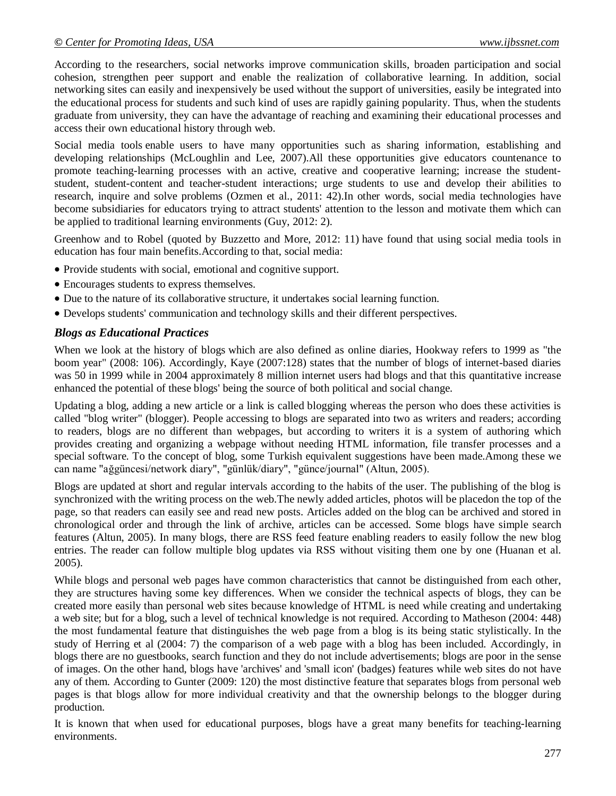According to the researchers, social networks improve communication skills, broaden participation and social cohesion, strengthen peer support and enable the realization of collaborative learning. In addition, social networking sites can easily and inexpensively be used without the support of universities, easily be integrated into the educational process for students and such kind of uses are rapidly gaining popularity. Thus, when the students graduate from university, they can have the advantage of reaching and examining their educational processes and access their own educational history through web.

Social media tools enable users to have many opportunities such as sharing information, establishing and developing relationships (McLoughlin and Lee, 2007).All these opportunities give educators countenance to promote teaching-learning processes with an active, creative and cooperative learning; increase the studentstudent, student-content and teacher-student interactions; urge students to use and develop their abilities to research, inquire and solve problems (Ozmen et al., 2011: 42).In other words, social media technologies have become subsidiaries for educators trying to attract students' attention to the lesson and motivate them which can be applied to traditional learning environments (Guy, 2012: 2).

Greenhow and to Robel (quoted by Buzzetto and More, 2012: 11) have found that using social media tools in education has four main benefits.According to that, social media:

- Provide students with social, emotional and cognitive support.
- Encourages students to express themselves.
- Due to the nature of its collaborative structure, it undertakes social learning function.
- Develops students' communication and technology skills and their different perspectives.

#### *Blogs as Educational Practices*

When we look at the history of blogs which are also defined as online diaries, Hookway refers to 1999 as "the boom year" (2008: 106). Accordingly, Kaye (2007:128) states that the number of blogs of internet-based diaries was 50 in 1999 while in 2004 approximately 8 million internet users had blogs and that this quantitative increase enhanced the potential of these blogs' being the source of both political and social change.

Updating a blog, adding a new article or a link is called blogging whereas the person who does these activities is called "blog writer" (blogger). People accessing to blogs are separated into two as writers and readers; according to readers, blogs are no different than webpages, but according to writers it is a system of authoring which provides creating and organizing a webpage without needing HTML information, file transfer processes and a special software. To the concept of blog, some Turkish equivalent suggestions have been made.Among these we can name "ağgüncesi/network diary", "günlük/diary", "günce/journal" (Altun, 2005).

Blogs are updated at short and regular intervals according to the habits of the user. The publishing of the blog is synchronized with the writing process on the web.The newly added articles, photos will be placedon the top of the page, so that readers can easily see and read new posts. Articles added on the blog can be archived and stored in chronological order and through the link of archive, articles can be accessed. Some blogs have simple search features (Altun, 2005). In many blogs, there are RSS feed feature enabling readers to easily follow the new blog entries. The reader can follow multiple blog updates via RSS without visiting them one by one (Huanan et al. 2005).

While blogs and personal web pages have common characteristics that cannot be distinguished from each other, they are structures having some key differences. When we consider the technical aspects of blogs, they can be created more easily than personal web sites because knowledge of HTML is need while creating and undertaking a web site; but for a blog, such a level of technical knowledge is not required. According to Matheson (2004: 448) the most fundamental feature that distinguishes the web page from a blog is its being static stylistically. In the study of Herring et al (2004: 7) the comparison of a web page with a blog has been included. Accordingly, in blogs there are no guestbooks, search function and they do not include advertisements; blogs are poor in the sense of images. On the other hand, blogs have 'archives' and 'small icon' (badges) features while web sites do not have any of them. According to Gunter (2009: 120) the most distinctive feature that separates blogs from personal web pages is that blogs allow for more individual creativity and that the ownership belongs to the blogger during production.

It is known that when used for educational purposes, blogs have a great many benefits for teaching-learning environments.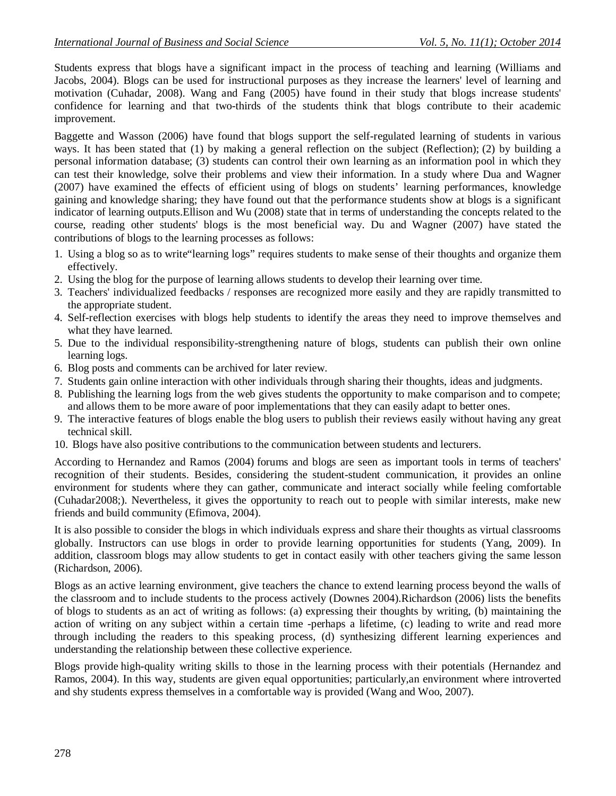Students express that blogs have a significant impact in the process of teaching and learning (Williams and Jacobs, 2004). Blogs can be used for instructional purposes as they increase the learners' level of learning and motivation (Cuhadar, 2008). Wang and Fang (2005) have found in their study that blogs increase students' confidence for learning and that two-thirds of the students think that blogs contribute to their academic improvement.

Baggette and Wasson (2006) have found that blogs support the self-regulated learning of students in various ways. It has been stated that (1) by making a general reflection on the subject (Reflection); (2) by building a personal information database; (3) students can control their own learning as an information pool in which they can test their knowledge, solve their problems and view their information. In a study where Dua and Wagner (2007) have examined the effects of efficient using of blogs on students' learning performances, knowledge gaining and knowledge sharing; they have found out that the performance students show at blogs is a significant indicator of learning outputs.Ellison and Wu (2008) state that in terms of understanding the concepts related to the course, reading other students' blogs is the most beneficial way. Du and Wagner (2007) have stated the contributions of blogs to the learning processes as follows:

- 1. Using a blog so as to write"learning logs" requires students to make sense of their thoughts and organize them effectively.
- 2. Using the blog for the purpose of learning allows students to develop their learning over time.
- 3. Teachers' individualized feedbacks / responses are recognized more easily and they are rapidly transmitted to the appropriate student.
- 4. Self-reflection exercises with blogs help students to identify the areas they need to improve themselves and what they have learned.
- 5. Due to the individual responsibility-strengthening nature of blogs, students can publish their own online learning logs.
- 6. Blog posts and comments can be archived for later review.
- 7. Students gain online interaction with other individuals through sharing their thoughts, ideas and judgments.
- 8. Publishing the learning logs from the web gives students the opportunity to make comparison and to compete; and allows them to be more aware of poor implementations that they can easily adapt to better ones.
- 9. The interactive features of blogs enable the blog users to publish their reviews easily without having any great technical skill.
- 10. Blogs have also positive contributions to the communication between students and lecturers.

According to Hernandez and Ramos (2004) forums and blogs are seen as important tools in terms of teachers' recognition of their students. Besides, considering the student-student communication, it provides an online environment for students where they can gather, communicate and interact socially while feeling comfortable (Cuhadar2008;). Nevertheless, it gives the opportunity to reach out to people with similar interests, make new friends and build community (Efimova, 2004).

It is also possible to consider the blogs in which individuals express and share their thoughts as virtual classrooms globally. Instructors can use blogs in order to provide learning opportunities for students (Yang, 2009). In addition, classroom blogs may allow students to get in contact easily with other teachers giving the same lesson (Richardson, 2006).

Blogs as an active learning environment, give teachers the chance to extend learning process beyond the walls of the classroom and to include students to the process actively (Downes 2004).Richardson (2006) lists the benefits of blogs to students as an act of writing as follows: (a) expressing their thoughts by writing, (b) maintaining the action of writing on any subject within a certain time -perhaps a lifetime, (c) leading to write and read more through including the readers to this speaking process, (d) synthesizing different learning experiences and understanding the relationship between these collective experience.

Blogs provide high-quality writing skills to those in the learning process with their potentials (Hernandez and Ramos, 2004). In this way, students are given equal opportunities; particularly,an environment where introverted and shy students express themselves in a comfortable way is provided (Wang and Woo, 2007).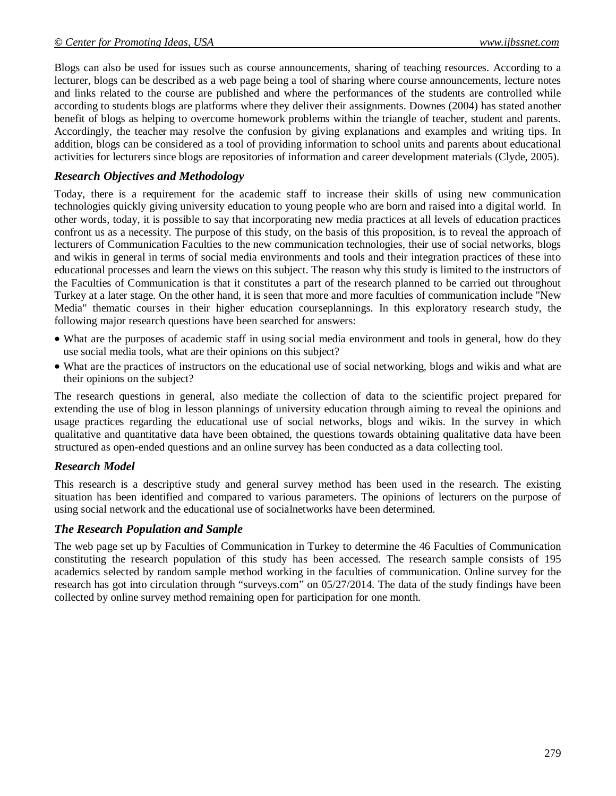Blogs can also be used for issues such as course announcements, sharing of teaching resources. According to a lecturer, blogs can be described as a web page being a tool of sharing where course announcements, lecture notes and links related to the course are published and where the performances of the students are controlled while according to students blogs are platforms where they deliver their assignments. Downes (2004) has stated another benefit of blogs as helping to overcome homework problems within the triangle of teacher, student and parents. Accordingly, the teacher may resolve the confusion by giving explanations and examples and writing tips. In addition, blogs can be considered as a tool of providing information to school units and parents about educational activities for lecturers since blogs are repositories of information and career development materials (Clyde, 2005).

#### *Research Objectives and Methodology*

Today, there is a requirement for the academic staff to increase their skills of using new communication technologies quickly giving university education to young people who are born and raised into a digital world. In other words, today, it is possible to say that incorporating new media practices at all levels of education practices confront us as a necessity. The purpose of this study, on the basis of this proposition, is to reveal the approach of lecturers of Communication Faculties to the new communication technologies, their use of social networks, blogs and wikis in general in terms of social media environments and tools and their integration practices of these into educational processes and learn the views on this subject. The reason why this study is limited to the instructors of the Faculties of Communication is that it constitutes a part of the research planned to be carried out throughout Turkey at a later stage. On the other hand, it is seen that more and more faculties of communication include "New Media" thematic courses in their higher education courseplannings. In this exploratory research study, the following major research questions have been searched for answers:

- What are the purposes of academic staff in using social media environment and tools in general, how do they use social media tools, what are their opinions on this subject?
- What are the practices of instructors on the educational use of social networking, blogs and wikis and what are their opinions on the subject?

The research questions in general, also mediate the collection of data to the scientific project prepared for extending the use of blog in lesson plannings of university education through aiming to reveal the opinions and usage practices regarding the educational use of social networks, blogs and wikis. In the survey in which qualitative and quantitative data have been obtained, the questions towards obtaining qualitative data have been structured as open-ended questions and an online survey has been conducted as a data collecting tool.

#### *Research Model*

This research is a descriptive study and general survey method has been used in the research. The existing situation has been identified and compared to various parameters. The opinions of lecturers on the purpose of using social network and the educational use of socialnetworks have been determined.

#### *The Research Population and Sample*

The web page set up by Faculties of Communication in Turkey to determine the 46 Faculties of Communication constituting the research population of this study has been accessed. The research sample consists of 195 academics selected by random sample method working in the faculties of communication. Online survey for the research has got into circulation through "surveys.com" on 05/27/2014. The data of the study findings have been collected by online survey method remaining open for participation for one month.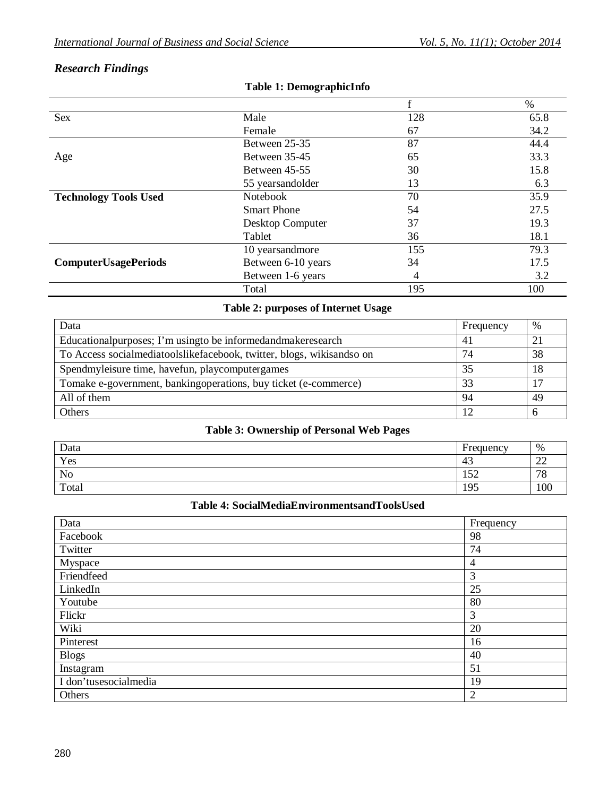# *Research Findings*

|                              |                    |     | $\%$ |
|------------------------------|--------------------|-----|------|
| <b>Sex</b>                   | Male               | 128 | 65.8 |
|                              | Female             | 67  | 34.2 |
|                              | Between 25-35      | 87  | 44.4 |
| Age                          | Between 35-45      | 65  | 33.3 |
|                              | Between 45-55      | 30  | 15.8 |
|                              | 55 years and older | 13  | 6.3  |
| <b>Technology Tools Used</b> | <b>Notebook</b>    | 70  | 35.9 |
|                              | <b>Smart Phone</b> | 54  | 27.5 |
|                              | Desktop Computer   | 37  | 19.3 |
|                              | Tablet             | 36  | 18.1 |
|                              | 10 years and more  | 155 | 79.3 |
| <b>ComputerUsagePeriods</b>  | Between 6-10 years | 34  | 17.5 |
|                              | Between 1-6 years  | 4   | 3.2  |
|                              | Total              | 195 | 100  |

#### **Table 1: DemographicInfo**

## **Table 2: purposes of Internet Usage**

| Data                                                                  | Frequency | %   |
|-----------------------------------------------------------------------|-----------|-----|
| Educational purposes; I'm using to be informed and make research      | 41        | 21  |
| To Access socialmediatoolslikefacebook, twitter, blogs, wikisandso on | 74        | 38  |
| Spendmyleisure time, havefun, playcomputergames                       | 35        | -18 |
| Tomake e-government, bankingoperations, buy ticket (e-commerce)       | 33        | 17  |
| All of them                                                           | 94        | 49  |
| Others                                                                | 12        |     |

## **Table 3: Ownership of Personal Web Pages**

| Data  | Frequency        | %                                  |
|-------|------------------|------------------------------------|
| Yes   | $\sqrt{2}$<br>43 | $\sim$<br>$\overline{\phantom{a}}$ |
| No    | 50<br>⊥J∠        | 70<br>$^{\prime}$ O                |
| Total | 195              | 100                                |

#### **Table 4: SocialMediaEnvironmentsandToolsUsed**

| Data                  | Frequency |
|-----------------------|-----------|
| Facebook              | 98        |
| Twitter               | 74        |
| Myspace               | 4         |
| Friendfeed            | 3         |
| LinkedIn              | 25        |
| Youtube               | 80        |
| Flickr                | 3         |
| Wiki                  | 20        |
| Pinterest             | 16        |
| <b>Blogs</b>          | 40        |
| Instagram             | 51        |
| I don'tusesocialmedia | 19        |
| Others                | 2         |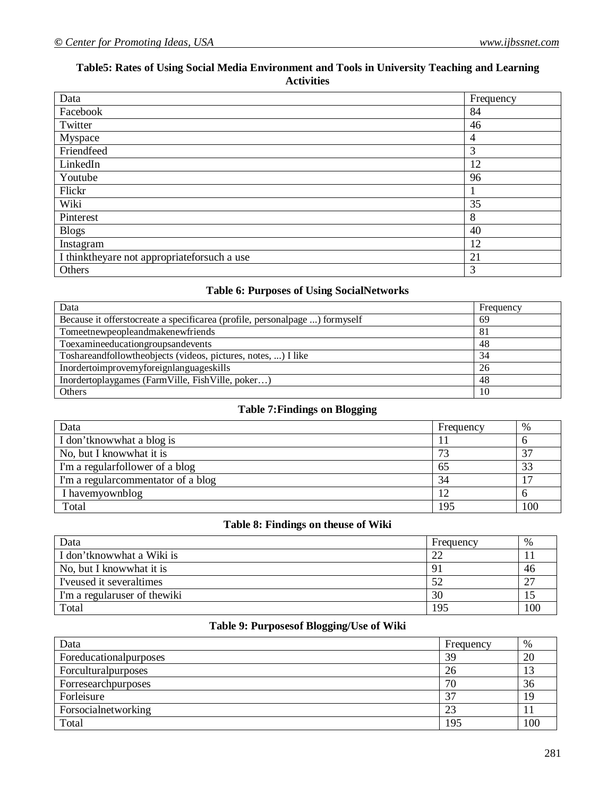## **Table5: Rates of Using Social Media Environment and Tools in University Teaching and Learning Activities**

| Data                                        | Frequency      |
|---------------------------------------------|----------------|
| Facebook                                    | 84             |
| Twitter                                     | 46             |
| Myspace                                     | $\overline{4}$ |
| Friendfeed                                  | 3              |
| LinkedIn                                    | 12             |
| Youtube                                     | 96             |
| Flickr                                      |                |
| Wiki                                        | 35             |
| Pinterest                                   | 8              |
| <b>Blogs</b>                                | 40             |
| Instagram                                   | 12             |
| I thinktheyare not appropriateforsuch a use | 21             |
| Others                                      | 3              |

# **Table 6: Purposes of Using SocialNetworks**

| Data                                                                        | Frequency |
|-----------------------------------------------------------------------------|-----------|
| Because it offerstocreate a specificarea (profile, personalpage ) formyself | 69        |
| Tomeetnewpeopleandmakenewfriends                                            | 81        |
| Toexamineeducationgroupsandevents                                           | 48        |
| Toshareandfollowtheobjects (videos, pictures, notes, ) I like               | 34        |
| Inordertoimprovemyforeignlanguageskills                                     | 26        |
| Inordertoplaygames (FarmVille, FishVille, poker)                            | 48        |
| Others                                                                      | 10        |

#### **Table 7:Findings on Blogging**

| Data                                | Frequency | %   |
|-------------------------------------|-----------|-----|
| I don't know what a blog is         |           |     |
| No, but I know what it is           |           | 37  |
| I'm a regularfollower of a blog     | 65        | 33  |
| I'm a regular commentator of a blog | 34        | າຕ  |
| I havemyownblog                     | 12        |     |
| Total                               | 195       | 100 |

# **Table 8: Findings on theuse of Wiki**

| Data                          | Frequency    | %   |
|-------------------------------|--------------|-----|
| I don't know what a Wiki is   | $\gamma$     |     |
| No, but I know what it is     | $\mathbf{Q}$ | 46  |
| I'veused it severaltimes      |              | 27  |
| I'm a regularuser of the wiki | 30           |     |
| Total                         | 195          | 100 |

# **Table 9: Purposesof Blogging/Use of Wiki**

| Data                   | Frequency | %   |
|------------------------|-----------|-----|
| Foreducationalpurposes | 39        | 20  |
| Forcultural purposes   | 26        |     |
| Forresearchpurposes    | 70        | 36  |
| Forleisure             |           |     |
| Forsocialnetworking    | 23        |     |
| Total                  | 195       | 100 |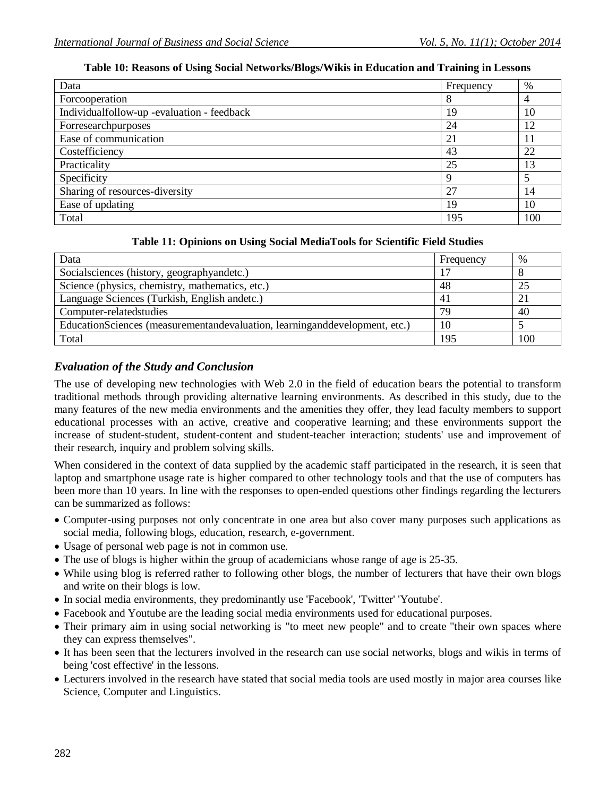#### **Table 10: Reasons of Using Social Networks/Blogs/Wikis in Education and Training in Lessons**

| Data                                       | Frequency | %   |
|--------------------------------------------|-----------|-----|
| Forcooperation                             | 8         |     |
| Individualfollow-up -evaluation - feedback | 19        | 10  |
| Forresearchpurposes                        | 24        | 12  |
| Ease of communication                      | 21        | 11  |
| Costefficiency                             | 43        | 22  |
| Practicality                               | 25        | 13  |
| Specificity                                | 9         |     |
| Sharing of resources-diversity             | 27        | 14  |
| Ease of updating                           | 19        | 10  |
| Total                                      | 195       | 100 |

| Data                                                                       | Frequency | $\%$ |
|----------------------------------------------------------------------------|-----------|------|
| Socialsciences (history, geographyandetc.)                                 |           |      |
| Science (physics, chemistry, mathematics, etc.)                            | 48        |      |
| Language Sciences (Turkish, English andetc.)                               | 41        |      |
| Computer-related studies                                                   | 79        | 40   |
| EducationSciences (measurementandevaluation, learninganddevelopment, etc.) |           |      |
| Total                                                                      | 195       | 100  |

#### **Table 11: Opinions on Using Social MediaTools for Scientific Field Studies**

#### *Evaluation of the Study and Conclusion*

The use of developing new technologies with Web 2.0 in the field of education bears the potential to transform traditional methods through providing alternative learning environments. As described in this study, due to the many features of the new media environments and the amenities they offer, they lead faculty members to support educational processes with an active, creative and cooperative learning; and these environments support the increase of student-student, student-content and student-teacher interaction; students' use and improvement of their research, inquiry and problem solving skills.

When considered in the context of data supplied by the academic staff participated in the research, it is seen that laptop and smartphone usage rate is higher compared to other technology tools and that the use of computers has been more than 10 years. In line with the responses to open-ended questions other findings regarding the lecturers can be summarized as follows:

- Computer-using purposes not only concentrate in one area but also cover many purposes such applications as social media, following blogs, education, research, e-government.
- Usage of personal web page is not in common use.
- The use of blogs is higher within the group of academicians whose range of age is 25-35.
- While using blog is referred rather to following other blogs, the number of lecturers that have their own blogs and write on their blogs is low.
- In social media environments, they predominantly use 'Facebook', 'Twitter' 'Youtube'.
- Facebook and Youtube are the leading social media environments used for educational purposes.
- Their primary aim in using social networking is "to meet new people" and to create "their own spaces where they can express themselves".
- It has been seen that the lecturers involved in the research can use social networks, blogs and wikis in terms of being 'cost effective' in the lessons.
- Lecturers involved in the research have stated that social media tools are used mostly in major area courses like Science, Computer and Linguistics.